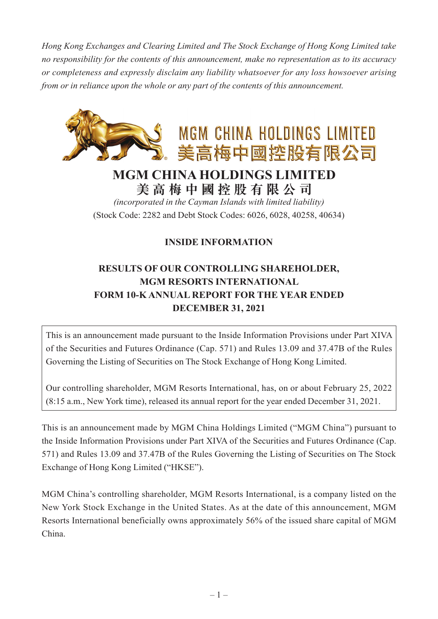*Hong Kong Exchanges and Clearing Limited and The Stock Exchange of Hong Kong Limited take no responsibility for the contents of this announcement, make no representation as to its accuracy or completeness and expressly disclaim any liability whatsoever for any loss howsoever arising from or in reliance upon the whole or any part of the contents of this announcement.*



## **MGM CHINA HOLDINGS LIMITED 美高梅中國控股有限公司**

*(incorporated in the Cayman Islands with limited liability)* (Stock Code: 2282 and Debt Stock Codes: 6026, 6028, 40258, 40634)

## **INSIDE INFORMATION**

## **RESULTS OF OUR CONTROLLING SHAREHOLDER, MGM RESORTS INTERNATIONAL FORM 10-K ANNUAL REPORT FOR THE YEAR ENDED DECEMBER 31, 2021**

This is an announcement made pursuant to the Inside Information Provisions under Part XIVA of the Securities and Futures Ordinance (Cap. 571) and Rules 13.09 and 37.47B of the Rules Governing the Listing of Securities on The Stock Exchange of Hong Kong Limited.

Our controlling shareholder, MGM Resorts International, has, on or about February 25, 2022 (8:15 a.m., New York time), released its annual report for the year ended December 31, 2021.

This is an announcement made by MGM China Holdings Limited ("MGM China") pursuant to the Inside Information Provisions under Part XIVA of the Securities and Futures Ordinance (Cap. 571) and Rules 13.09 and 37.47B of the Rules Governing the Listing of Securities on The Stock Exchange of Hong Kong Limited ("HKSE").

MGM China's controlling shareholder, MGM Resorts International, is a company listed on the New York Stock Exchange in the United States. As at the date of this announcement, MGM Resorts International beneficially owns approximately 56% of the issued share capital of MGM China.